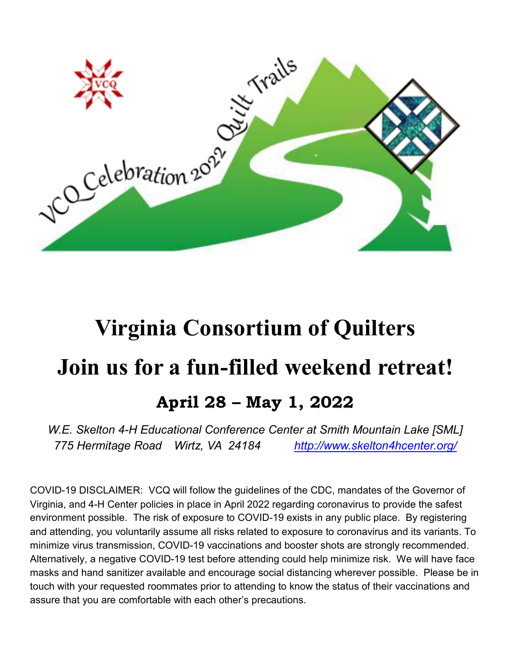

# **Virginia Consortium of Quilters Join us for a fun-filled weekend retreat! April 28 – May 1, 2022**

*W.E. Skelton 4-H Educational Conference Center at Smith Mountain Lake [SML] 775 Hermitage Road Wirtz, VA 24184 <http://www.skelton4hcenter.org/>*

COVID-19 DISCLAIMER: VCQ will follow the guidelines of the CDC, mandates of the Governor of Virginia, and 4-H Center policies in place in April 2022 regarding coronavirus to provide the safest environment possible. The risk of exposure to COVID-19 exists in any public place. By registering and attending, you voluntarily assume all risks related to exposure to coronavirus and its variants. To minimize virus transmission, COVID-19 vaccinations and booster shots are strongly recommended. Alternatively, a negative COVID-19 test before attending could help minimize risk. We will have face masks and hand sanitizer available and encourage social distancing wherever possible. Please be in touch with your requested roommates prior to attending to know the status of their vaccinations and assure that you are comfortable with each other's precautions.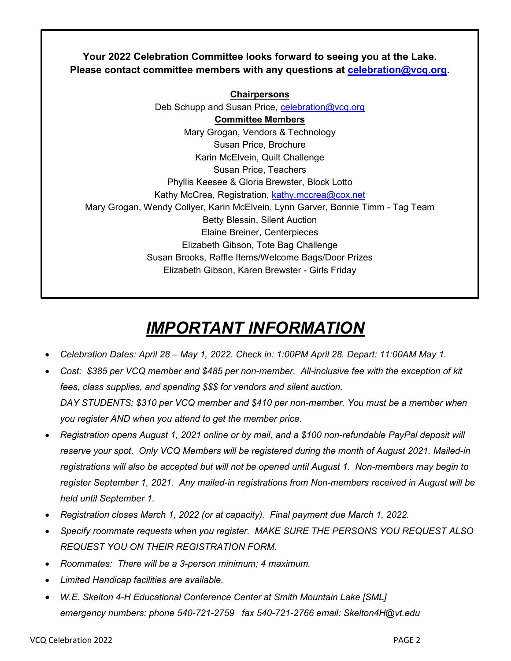# **Your 2022 Celebration Committee looks forward to seeing you at the Lake. Please contact committee members with any questions at [celebration@vcq.org.](mailto:celebration@vcq.org)**

**Chairpersons** Deb Schupp and Susan Price, [celebration@vcq.org](mailto:celebration@vcq.org) **Committee Members** Mary Grogan, Vendors & Technology Susan Price, Brochure Karin McElvein, Quilt Challenge Susan Price, Teachers Phyllis Keesee & Gloria Brewster, Block Lotto Kathy McCrea, Registration, [kathy.mccrea@cox.net](mailto:kathy.mccrea@cox.net) Mary Grogan, Wendy Collyer, Karin McElvein, Lynn Garver, Bonnie Timm - Tag Team Betty Blessin, Silent Auction Elaine Breiner, Centerpieces Elizabeth Gibson, Tote Bag Challenge Susan Brooks, Raffle Items/Welcome Bags/Door Prizes Elizabeth Gibson, Karen Brewster - Girls Friday

# *IMPORTANT INFORMATION*

- *Celebration Dates: April 28 – May 1, 2022. Check in: 1:00PM April 28. Depart: 11:00AM May 1.*
- *Cost: \$385 per VCQ member and \$485 per non-member. All-inclusive fee with the exception of kit fees, class supplies, and spending \$\$\$ for vendors and silent auction. DAY STUDENTS: \$310 per VCQ member and \$410 per non-member. You must be a member when you register AND when you attend to get the member price.*
- *Registration opens August 1, 2021 online or by mail, and a \$100 non-refundable PayPal deposit will reserve your spot. Only VCQ Members will be registered during the month of August 2021. Mailed-in registrations will also be accepted but will not be opened until August 1. Non-members may begin to register September 1, 2021. Any mailed-in registrations from Non-members received in August will be held until September 1.*
- *Registration closes March 1, 2022 (or at capacity). Final payment due March 1, 2022.*
- *Specify roommate requests when you register. MAKE SURE THE PERSONS YOU REQUEST ALSO REQUEST YOU ON THEIR REGISTRATION FORM.*
- *Roommates: There will be a 3-person minimum; 4 maximum.*
- *Limited Handicap facilities are available.*
- *W.E. Skelton 4-H Educational Conference Center at Smith Mountain Lake [SML] emergency numbers: phone 540-721-2759 fax 540-721-2766 email: Skelton4H@vt.edu*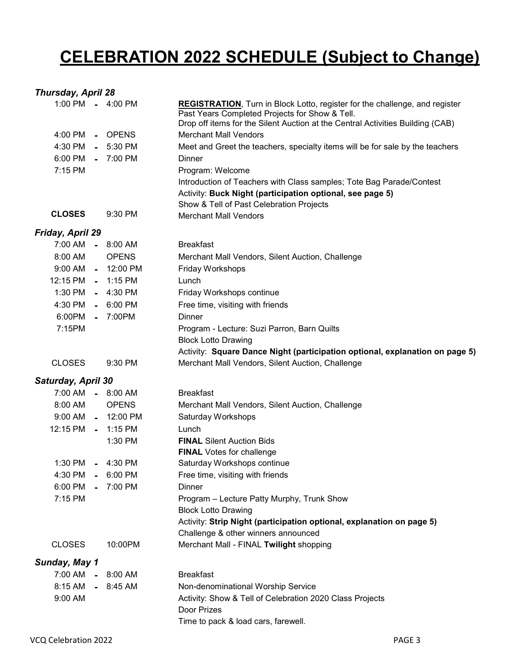# **CELEBRATION 2022 SCHEDULE (Subject to Change)**

# *Thursday, April 28*

|                    |                | 1:00 PM - 4:00 PM   | <b>REGISTRATION, Turn in Block Lotto, register for the challenge, and register</b><br>Past Years Completed Projects for Show & Tell. |
|--------------------|----------------|---------------------|--------------------------------------------------------------------------------------------------------------------------------------|
| 4:00 PM            |                | - OPENS             | Drop off items for the Silent Auction at the Central Activities Building (CAB)<br><b>Merchant Mall Vendors</b>                       |
|                    |                |                     |                                                                                                                                      |
| 4:30 PM            |                | $-5:30$ PM          | Meet and Greet the teachers, specialty items will be for sale by the teachers                                                        |
| 6:00 PM            |                | $-7:00$ PM          | Dinner                                                                                                                               |
| 7:15 PM            |                |                     | Program: Welcome                                                                                                                     |
|                    |                |                     | Introduction of Teachers with Class samples; Tote Bag Parade/Contest                                                                 |
|                    |                |                     | Activity: Buck Night (participation optional, see page 5)<br>Show & Tell of Past Celebration Projects                                |
| <b>CLOSES</b>      |                | $9:30$ PM           | <b>Merchant Mall Vendors</b>                                                                                                         |
| Friday, April 29   |                |                     |                                                                                                                                      |
| 7:00 AM            |                | $-8:00 AM$          | <b>Breakfast</b>                                                                                                                     |
| 8:00 AM            |                | <b>OPENS</b>        | Merchant Mall Vendors, Silent Auction, Challenge                                                                                     |
|                    |                | 9:00 AM - 12:00 PM  | Friday Workshops                                                                                                                     |
| 12:15 PM           |                | $-1:15$ PM          | Lunch                                                                                                                                |
| 1:30 PM            |                | $-4:30$ PM          | Friday Workshops continue                                                                                                            |
| 4:30 PM            |                | $-6:00$ PM          | Free time, visiting with friends                                                                                                     |
| 6:00PM             |                | $-7:00PM$           | Dinner                                                                                                                               |
| 7:15PM             |                |                     | Program - Lecture: Suzi Parron, Barn Quilts                                                                                          |
|                    |                |                     | <b>Block Lotto Drawing</b>                                                                                                           |
|                    |                |                     | Activity: Square Dance Night (participation optional, explanation on page 5)                                                         |
| <b>CLOSES</b>      |                | 9:30 PM             | Merchant Mall Vendors, Silent Auction, Challenge                                                                                     |
| Saturday, April 30 |                |                     |                                                                                                                                      |
|                    |                | 7:00 AM - 8:00 AM   | <b>Breakfast</b>                                                                                                                     |
| 8:00 AM            |                | <b>OPENS</b>        | Merchant Mall Vendors, Silent Auction, Challenge                                                                                     |
| $9:00$ AM          |                | $-12:00 \text{ PM}$ | Saturday Workshops                                                                                                                   |
| 12:15 PM - 1:15 PM |                |                     | Lunch                                                                                                                                |
|                    |                | 1:30 PM             | <b>FINAL Silent Auction Bids</b>                                                                                                     |
|                    |                |                     | <b>FINAL</b> Votes for challenge                                                                                                     |
| 1:30 PM            |                | $-4:30$ PM          | Saturday Workshops continue                                                                                                          |
| 4:30 PM            |                | $-6:00$ PM          | Free time, visiting with friends                                                                                                     |
| 6:00 PM            |                | 7:00 PM             | Dinner                                                                                                                               |
| 7:15 PM            |                |                     | Program - Lecture Patty Murphy, Trunk Show                                                                                           |
|                    |                |                     | <b>Block Lotto Drawing</b>                                                                                                           |
|                    |                |                     | Activity: Strip Night (participation optional, explanation on page 5)                                                                |
|                    |                |                     | Challenge & other winners announced                                                                                                  |
| <b>CLOSES</b>      |                | 10:00PM             | Merchant Mall - FINAL Twilight shopping                                                                                              |
| Sunday, May 1      |                |                     |                                                                                                                                      |
| 7:00 AM            | $\blacksquare$ | 8:00 AM             | <b>Breakfast</b>                                                                                                                     |
| 8:15 AM            |                | $-8:45AM$           | Non-denominational Worship Service                                                                                                   |
| 9:00 AM            |                |                     | Activity: Show & Tell of Celebration 2020 Class Projects<br>Door Prizes                                                              |
|                    |                |                     | Time to pack & load cars, farewell.                                                                                                  |
|                    |                |                     |                                                                                                                                      |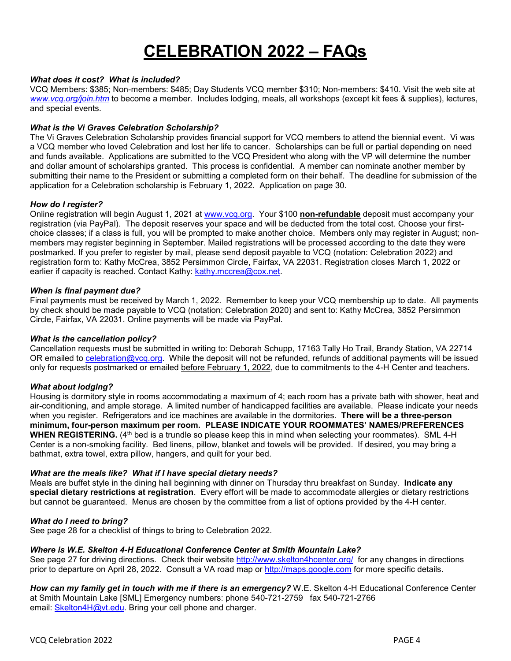# **CELEBRATION 2022 – FAQs**

#### *What does it cost? What is included?*

VCQ Members: \$385; Non-members: \$485; Day Students VCQ member \$310; Non-members: \$410. Visit the web site at *[www.vcq.org/join.htm](http://www.vcq.org/join.htm)* to become a member. Includes lodging, meals, all workshops (except kit fees & supplies), lectures, and special events.

#### *What is the Vi Graves Celebration Scholarship?*

The Vi Graves Celebration Scholarship provides financial support for VCQ members to attend the biennial event. Vi was a VCQ member who loved Celebration and lost her life to cancer. Scholarships can be full or partial depending on need and funds available. Applications are submitted to the VCQ President who along with the VP will determine the number and dollar amount of scholarships granted. This process is confidential. A member can nominate another member by submitting their name to the President or submitting a completed form on their behalf. The deadline for submission of the application for a Celebration scholarship is February 1, 2022. Application on page 30.

#### *How do I register?*

Online registration will begin August 1, 2021 at [www.vcq.org.](http://www.vcq.org/) Your \$100 **non-refundable** deposit must accompany your registration (via PayPal). The deposit reserves your space and will be deducted from the total cost. Choose your firstchoice classes; if a class is full, you will be prompted to make another choice. Members only may register in August; nonmembers may register beginning in September. Mailed registrations will be processed according to the date they were postmarked. If you prefer to register by mail, please send deposit payable to VCQ (notation: Celebration 2022) and registration form to: Kathy McCrea, 3852 Persimmon Circle, Fairfax, VA 22031. Registration closes March 1, 2022 or earlier if capacity is reached. Contact Kathy: [kathy.mccrea@cox.net.](mailto:kathy.mccrea@cox.net)

#### *When is final payment due?*

Final payments must be received by March 1, 2022. Remember to keep your VCQ membership up to date. All payments by check should be made payable to VCQ (notation: Celebration 2020) and sent to: Kathy McCrea, 3852 Persimmon Circle, Fairfax, VA 22031. Online payments will be made via PayPal.

#### *What is the cancellation policy?*

Cancellation requests must be submitted in writing to: Deborah Schupp, 17163 Tally Ho Trail, Brandy Station, VA 22714 OR emailed to celebration@vcq.org. While the deposit will not be refunded, refunds of additional payments will be issued only for requests postmarked or emailed before February 1, 2022, due to commitments to the 4-H Center and teachers.

#### *What about lodging?*

Housing is dormitory style in rooms accommodating a maximum of 4; each room has a private bath with shower, heat and air-conditioning, and ample storage. A limited number of handicapped facilities are available. Please indicate your needs when you register. Refrigerators and ice machines are available in the dormitories. **There will be a three-person minimum, four-person maximum per room. PLEASE INDICATE YOUR ROOMMATES' NAMES/PREFERENCES WHEN REGISTERING.** (4<sup>th</sup> bed is a trundle so please keep this in mind when selecting your roommates). SML 4-H Center is a non-smoking facility. Bed linens, pillow, blanket and towels will be provided. If desired, you may bring a bathmat, extra towel, extra pillow, hangers, and quilt for your bed.

#### *What are the meals like? What if I have special dietary needs?*

Meals are buffet style in the dining hall beginning with dinner on Thursday thru breakfast on Sunday. **Indicate any special dietary restrictions at registration**. Every effort will be made to accommodate allergies or dietary restrictions but cannot be guaranteed. Menus are chosen by the committee from a list of options provided by the 4-H center.

#### *What do I need to bring?*

See page 28 for a checklist of things to bring to Celebration 2022.

#### *Where is W.E. Skelton 4-H Educational Conference Center at Smith Mountain Lake?*

See page 27 for driving directions. Check their website<http://www.skelton4hcenter.org/> for any changes in directions prior to departure on April 28, 2022. Consult a VA road map or [http://maps.google.com](http://maps.google.com/) for more specific details.

*How can my family get in touch with me if there is an emergency?* W.E. Skelton 4-H Educational Conference Center at Smith Mountain Lake [SML] Emergency numbers: phone 540-721-2759 fax 540-721-2766 email: [Skelton4H@vt.edu.](mailto:Skelton4H@vt.edu) Bring your cell phone and charger.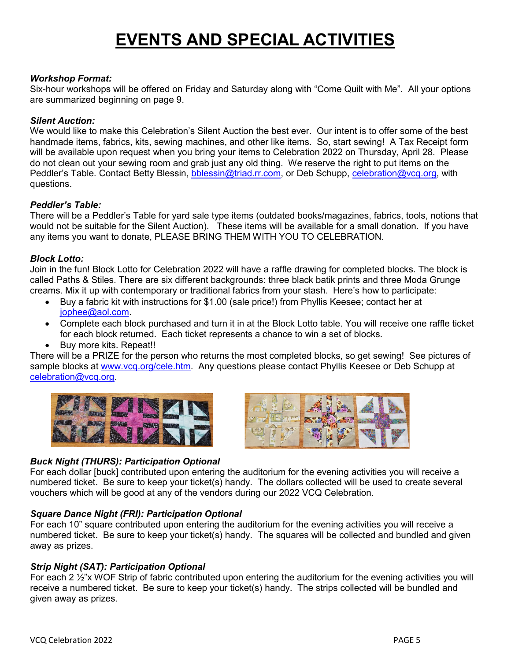# **EVENTS AND SPECIAL ACTIVITIES**

#### *Workshop Format:*

Six-hour workshops will be offered on Friday and Saturday along with "Come Quilt with Me". All your options are summarized beginning on page 9.

#### *Silent Auction:*

We would like to make this Celebration's Silent Auction the best ever. Our intent is to offer some of the best handmade items, fabrics, kits, sewing machines, and other like items. So, start sewing! A Tax Receipt form will be available upon request when you bring your items to Celebration 2022 on Thursday, April 28. Please do not clean out your sewing room and grab just any old thing. We reserve the right to put items on the Peddler's Table. Contact Betty Blessin, [bblessin@triad.rr.com,](mailto:bblessin@triad.rr.com) or Deb Schupp, [celebration@vcq.org,](mailto:celebration@vcq.org) with questions.

#### *Peddler's Table:*

There will be a Peddler's Table for yard sale type items (outdated books/magazines, fabrics, tools, notions that would not be suitable for the Silent Auction). These items will be available for a small donation. If you have any items you want to donate, PLEASE BRING THEM WITH YOU TO CELEBRATION.

#### *Block Lotto:*

Join in the fun! Block Lotto for Celebration 2022 will have a raffle drawing for completed blocks. The block is called Paths & Stiles. There are six different backgrounds: three black batik prints and three Moda Grunge creams. Mix it up with contemporary or traditional fabrics from your stash. Here's how to participate:

- Buy a fabric kit with instructions for \$1.00 (sale price!) from Phyllis Keesee; contact her at [jophee@aol.com.](mailto:jophee@aol.com)
- Complete each block purchased and turn it in at the Block Lotto table. You will receive one raffle ticket for each block returned. Each ticket represents a chance to win a set of blocks.
- Buy more kits. Repeat!!

There will be a PRIZE for the person who returns the most completed blocks, so get sewing! See pictures of sample blocks at [www.vcq.org/cele.htm.](http://www.vcq.org/cele.htm) Any questions please contact Phyllis Keesee or Deb Schupp at [celebration@vcq.org.](mailto:celebration@vcq.org)





# *Buck Night (THURS): Participation Optional*

For each dollar [buck] contributed upon entering the auditorium for the evening activities you will receive a numbered ticket. Be sure to keep your ticket(s) handy. The dollars collected will be used to create several vouchers which will be good at any of the vendors during our 2022 VCQ Celebration.

### *Square Dance Night (FRI): Participation Optional*

For each 10" square contributed upon entering the auditorium for the evening activities you will receive a numbered ticket. Be sure to keep your ticket(s) handy. The squares will be collected and bundled and given away as prizes.

### *Strip Night (SAT): Participation Optional*

For each 2  $\frac{1}{2}$ "x WOF Strip of fabric contributed upon entering the auditorium for the evening activities you will receive a numbered ticket. Be sure to keep your ticket(s) handy. The strips collected will be bundled and given away as prizes.